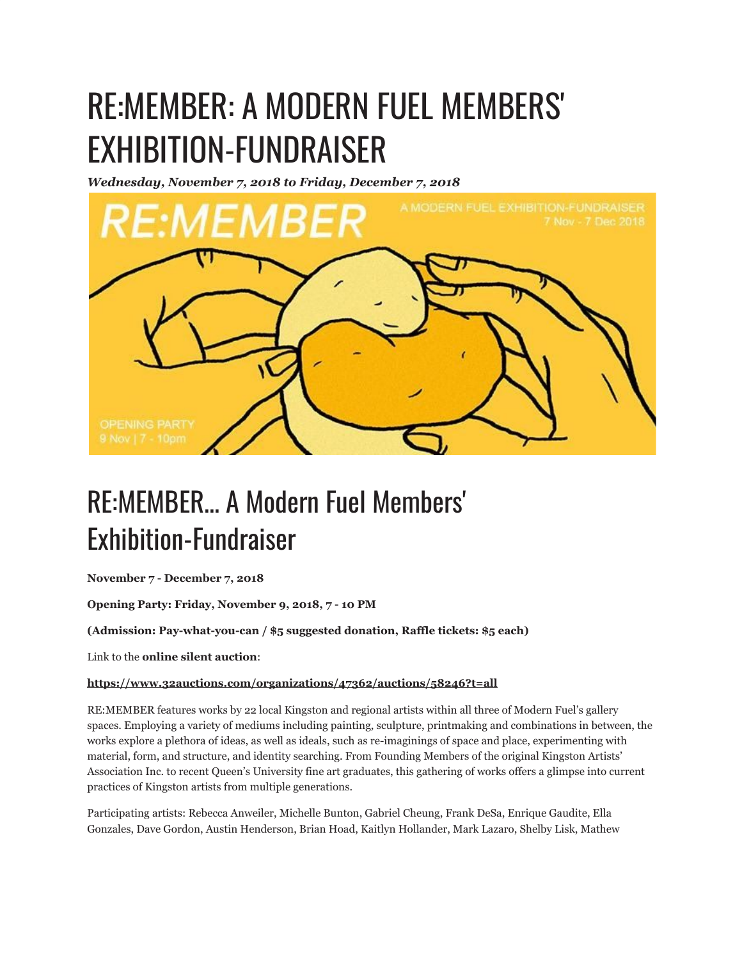## RE:MEMBER: A MODERN FUEL MEMBERS' EXHIBITION-FUNDRAISER

*Wednesday, November 7, 2018 to Friday, December 7, 2018*



## RE:MEMBER... A Modern Fuel Members' Exhibition-Fundraiser

**November 7 - December 7, 2018**

**Opening Party: Friday, November 9, 2018, 7 - 10 PM**

**(Admission: Pay-what-you-can / \$5 suggested donation, Raffle tickets: \$5 each)**

Link to the **online silent auction**:

## **https://www.32auctions.com/organizations/47362/auctions/58246?t=all**

RE:MEMBER features works by 22 local Kingston and regional artists within all three of Modern Fuel's gallery spaces. Employing a variety of mediums including painting, sculpture, printmaking and combinations in between, the works explore a plethora of ideas, as well as ideals, such as re-imaginings of space and place, experimenting with material, form, and structure, and identity searching. From Founding Members of the original Kingston Artists' Association Inc. to recent Queen's University fine art graduates, this gathering of works offers a glimpse into current practices of Kingston artists from multiple generations.

Participating artists: Rebecca Anweiler, Michelle Bunton, Gabriel Cheung, Frank DeSa, Enrique Gaudite, Ella Gonzales, Dave Gordon, Austin Henderson, Brian Hoad, Kaitlyn Hollander, Mark Lazaro, Shelby Lisk, Mathew